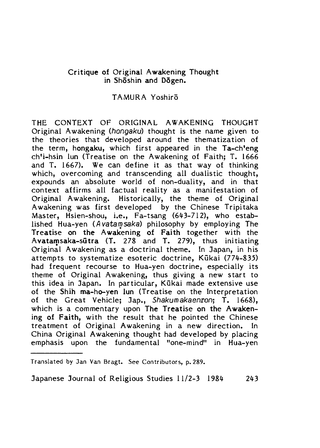### Critique of Original Awakening Thought in Shoshin and Dogen.

### TAMURA Yoshir5

THE CONTEXT OF ORIGINAL AWAKENING THOUGHT Original Awakening *(hongaku)* thought is the name given to the theories that developed around the thematization of the term, hongaku, which first appeared in the Ta-ch'eng ch'i-hsin lun (Treatise on the Awakening of Faith; T. 1666 and  $T$ . 1667). We can define it as that way of thinking which, overcoming and transcending all dualistic thought, expounds an absolute world of non-duality, and in that context affirms all factual reality as a manifestation of Original Awakening. Historically, the theme of Original Awakening was first developed by the Chinese Tripitaka Master, Hsien-shou, i.e., Fa-tsang (643-712), who established Hua-yen *(Avatamsaka)* philosophy by employing The Treatise on the Awakening of Faith together with the Avatamsaka-sutra (T, 278 and T. 279), thus initiating Original Awakening as a doctrinal theme. In Japan, in his attempts to systematize esoteric doctrine, Kūkai (774-835) had frequent recourse to Hua-yen doctrine, especially its theme of Original Awakening, thus giving a new start to this idea in Japan. In particular, Kūkai made extensive use of the Shih ma-ho-yen lun (Treatise on the Interpretation of the Great Vehicle; Jap., Shakumakaenron; T. 1668), which is a commentary upon The Treatise on the Awakening of Faith, with the result that he pointed the Chinese treatment of Original Awakening in a new direction. In China Original Awakening thought had developed by placing emphasis upon the fundamental "one-mind" in Hua-yen

Translated by Jan Van Bragt. See Contributors, p. 289.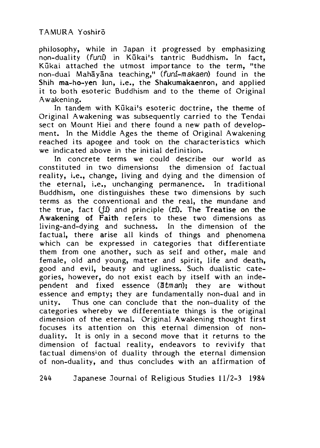philosophy, while in Japan it progressed by emphasizing non-duality *(furu)* in Kukai's tantric Buddhism. In fact, Kukai attached the utmost importance to the term, "the non-dual Mahayana teaching," *(funi-makaen)* found in the Shih ma-ho-yen lun, i.e., the Shakumakaenron, and applied it to both esoteric Buddhism and to the theme of Original Awakening.

In tandem with Kūkai's esoteric doctrine, the theme of Original Awakening was subsequently carried to the Tendai sect on Mount Hiei and there found a new path of development. In the Middle Ages the theme of Original Awakening reached its apogee and took on the characteristics which we indicated above in the initial definition.

In concrete terms we could describe our world as constituted in two dimensions: the dimension of factual reality, i.e. change, living and dying and the dimension of the eternal, i.e., unchanging permanence. In traditional Buddhism, one distinguishes these two dimensions by such terms as the conventional and the real, the mundane and the true, fact  $(i)$  and principle  $(ri)$ . The Treatise on the Awakening of Faith refers to these two dimensions as living-and-dying and suchness. In the dimension of the factual, there arise all kinds of things and phenomena which can be expressed in categories that differentiate them from one another, such as self and other, male and female, old and young, matter and spirit, life and death, good and evil, beauty and ugliness. Such dualistic categories, however, do not exist each by itself with an independent and fixed essence ( $\overline{a}$ tman); they are without essence and empty; they are fundamentally non-dual and in unity. Thus one can conclude that the non-duality of the categories whereby we differentiate things is the original dimension of the eternal. Original Awakening thought first focuses its attention on this eternal dimension of nonduality. It is only in a second move that it returns to the dimension of factual reality, endeavors to revivify that factual dimension of duality through the eternal dimension of non-duality, and thus concludes with an affirmation of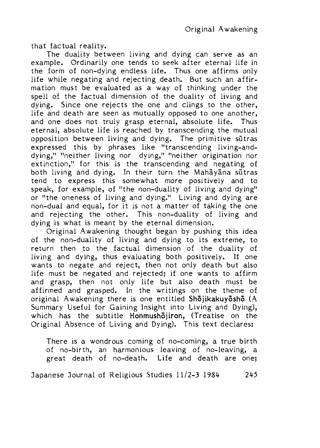that factual reality.

The duality between living and dying can serve as an example. Ordinarily one tends to seek after eternal life in the form of non-dying endless life. Thus one affirms only life while negating and rejecting death. But such an affirmation must be evaluated as a way of thinking under the spell of the factual dimension of the duality of living and dying. Since one rejects the one and clings to the other, life and death are seen as mutually opposed to one another, and one does not truly grasp eternal, absolute life. Thus eternal, absolute life is reached by transcending the mutual opposition between living and dying. The primitive sutras expressed this by phrases like ''transcending living-anddying," "neither living nor dying," "neither origination nor extinction," for this is the transcending and negating of both living and dying. In their turn the Mahavana sutras tend to express this somewhat more positively and to speak, for example, of "the non-duality of living and dying" or "the oneness of living and dying," Living and dying are non-dual and equal, for it is not a matter of taking the one and rejecting the other. This non-duality of living and dying is what is meant by the eternal dimension.

Original Awakening thought began by pushing this idea of the non-duality of living and dying to its extreme, to return then to the factual dimension of the duality of living and dying, thus evaluating both positively. If one wants to negate and reject, then not only death but also life must be negated and rejected; if one wants to affirm and grasp, then not only life but also death must be affirmed and grasped. In the writings on the theme of original Awakening there is one entitled Shojikakuyosho (A Summary Useful for Gaining Insight into Living and Dying), which has the subtitle Honmushojiron, (Treatise on the Original Absence of Living and Dying). This text declares:

There is a wondrous coming of no-coming, a true birth of no-birth, an harmonious leaving of no-leaving, a great death of no-death. Life and death are one;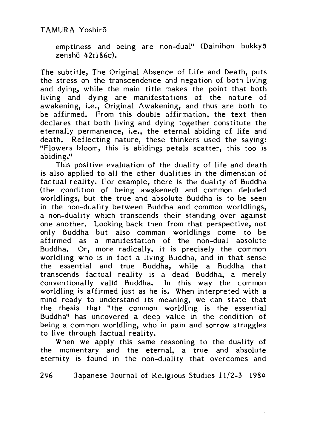emptiness and being are non-dual" (Dainihon bukkyō zenshū 42:186c).

The subtitle, The Original Absence of Life and Death, puts the stress on the transcendence and negation of both living and dying, while the main title makes the point that both living and dying are manifestations of the nature of awakening, i.e., Original Awakening, and thus are both to be affirmed. From this double affirmation, the text then declares that both living and dying together constitute the eternally permanence, i.e., the eternal abiding of life and death. Reflecting nature, these thinkers used the saying: "Flowers bloom, this is abiding; petals scatter, this too is abiding."

This positive evaluation of the duality of life and death is also applied to all the other dualities in the dimension of factual reality. For example, there is the duality of Buddha (the condition of being awakened) and common deluded worldlings, but the true and absolute Buddha is to be seen in the non-duality between Buddha and common worldlings, a non-duality which transcends their standing over against one another. Looking back then from that perspective, not only Buddha but also common worldlings come to be affirmed as a manifestation of the non-dual absolute Buddha, Or, more radically, it is precisely the common worldling who is in fact a living Buddha, and in that sense the essential and true Buddha, while a Buddha that transcends factual reality is a dead Buddha, a merely conventionally valid Buddha. In this way the common worldling is affirmed just as he is. When interpreted with a mind ready to understand its meaning, we can state that the thesis that "the common worldling is the essential Buddha'1 has uncovered a deep value in the condition of being a common worldling, who in pain and sorrow struggles to live through factual reality.

When we apply this same reasoning to the duality of the momentary and the eternal, a true and absolute eternity is found in the non-duality that overcomes and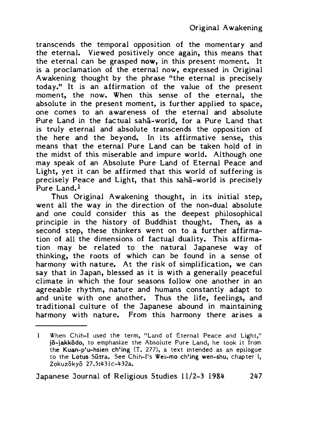transcends the temporal opposition of the momentary and the eternal. Viewed positively once again, this means that the eternal can be grasped now, in this present moment. It is a proclamation of the eternal now, expressed in Original Awakening thought by the phrase "the eternal is precisely today." It is an affirmation of the value of the present moment, the now. When this sense of the eternal, the absolute in the present moment, is further applied to space, one comes to an awareness of the eternal and absolute Pure Land in the factual saha-world, for a Pure Land that is truly eternal and absolute transcends the opposition of the here and the beyond. In its affirmative sense, this means that the eternal Pure Land can be taken hold of in the midst of this miserable and impure world. Although one may speak of an Absolute Pure Land of Eternal Peace and Light, yet it can be affirmed that this world of suffering is precisely Peace and Light, that this saha-world is precisely Pure Land.<sup>1</sup>

Thus Original Awakening thought, in its initial step, went all the way in the direction of the non-dual absolute and one could consider this as the deepest philosophical principle in the history of Buddhist thought. Then, as a second step, these thinkers went on to a further affirmation of all the dimensions of factual duality. This affirmation may be related to the natural Japanese way of thinking, the roots of which can be found in a sense of harmony with nature. At the risk of simplification, we can say that in Japan, blessed as it is with a generally peaceful climate in which the four seasons follow one another in an agreeable rhythm, nature and humans constantly adapt to and unite with one another. Thus the life, feelings, and traditional culture of the Japanese abound in maintaining harmony with nature. From this harmony there arises a

<sup>1</sup> When Chih-I used the term, "Land of Eternal Peace and Light," jō-jakkōdo, to emphasize the Absolute Pure Land, he took it from the Kuan-p'u-hsien ch'ing (T. 277), a text intended as an epilogue to the Lotus Sutra. See Chih-I's Wei-mo ch'ing wen-shu, chapter I, Zokuzōkvō 27.5:431c-432a.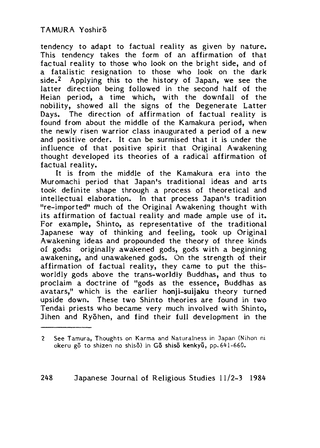tendency to adapt to factual reality as given by nature. This tendency takes the form of an affirmation of that factual reality to those who look on the bright side, and of a fatalistic resignation to those who look on the dark side.<sup>2</sup> Applying this to the history of Japan, we see the latter direction being followed in the second half of the Heian period, a time which, with the downfall of the nobility, showed all the signs of the Degenerate Latter Days. The direction of affirmation of factual reality is found from about the middle of the Kamakura period, when the newly risen warrior class inaugurated a period of a new and positive order. It can be surmised that it is under the influence of that positive spirit that Original Awakening thought developed its theories of a radical affirmation of factual reality.

It is from the middle of the Kamakura era into the Muromachi period that Japan's traditional ideas and arts took definite shape through a process of theoretical and intellectual elaboration. In that process Japan's tradition "re-imported" much of the Original Awakening thought with its affirmation of factual reality and made ample use of it. For example, Shinto, as representative of the traditional Japanese way of thinking and feeling, took up Original Awakening ideas and propounded the theory of three kinds of gods: originally awakened gods, gods with a beginning awakening, and unawakened gods. On the strength of their affirmation of factual reality, they came to put the thisworldly gods above the trans-worldly Buddhas, and thus to proclaim a doctrine of "gods as the essence, Buddhas as avatars,'1 which is the earlier honji-suijaku theory turned upside down. These two Shinto theories are found in two Tendai priests who became very much involved with Shinto, Jihen and RyShen, and find their full development in the

<sup>2</sup> See Tamura, Thoughts on Karma and Naturalness in Japan (Nihon ni okeru gō to shizen no shisō) in Gō shisō kenkyū, pp. 641-660.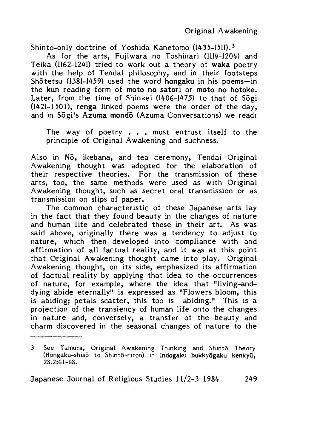Shinto-only doctrine of Yoshida Kanetomo (1435-1511),<sup>3</sup>

As for the arts, Fujiwara no Toshinari (1114-1204) and Teika (1162-12^1) tried to work out a theory of waka poetry with the help of Tendai philosophy, and in their footsteps Shōtetsu (1381-1459) used the word hongaku in his poems—in the kun reading form of moto no satori or moto no hotoke. Later, from the time of Shinkei (1406-1475) to that of Sogi  $(1421-1501)$ , renga linked poems were the order of the day, and in Sogi's Azuma mondo (Azuma Conversations) we read:

The way of poetry  $\ldots$  must entrust itself to the principle of Original Awakening and suchness.

Also in No, ikebana, and tea ceremony, Tendai Original Awakening thought was adopted for the elaboration of their respective theories. For the transmission of these arts, too, the same methods were used as with Original Awakening thought, such as secret oral transmission or as transmission on slips of paper.

The common characteristic of these Japanese arts lay in the fact that they found beauty in the changes of nature and human life and celebrated these in their art. As was said above, originally there was a tendency to adjust to nature, which then developed into compliance with and affirmation of all factual reality, and it was at this point that Original Awakening thought came into play. Original Awakening thought, on its side, emphasized its affirmation of factual reality by applying that idea to the occurrences of nature, for example, where the idea that "living-anddying abide eternally" is expressed as "Flowers bloom, this is abiding; petals scatter, this too is abiding." This is a projection of the transiency of human life onto the changes in nature and, conversely, a transfer of the beauty and charm discovered in the seasonal changes of nature to the

<sup>3</sup> See Tamura, Original Awakening Thinking and Shinto Theory (Hongaku-shiso to Shinto-riron) in Indogaku bukkyogaku kenkyu, 28.2:61-68.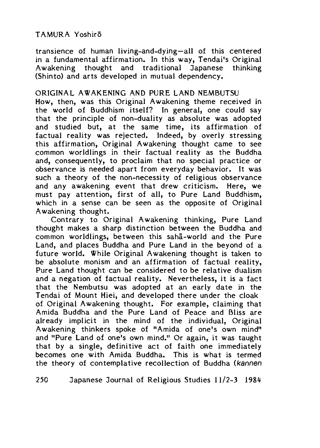# TAMURA YoshirS

transience of human living-and-dying—all of this centered in a fundamental affirmation. In this way, Tendai's Original Awakening thought and traditional Japanese thinking (Shinto) and arts developed in mutual dependency.

## ORIGINAL AWAKENING AND PURE LAND NEMBUTSU

How, then, was this Original Awakening theme received in the world of Buddhism itself? In general, one could say that the principle of non-duality as absolute was adopted and studied but, at the same time, its affirmation of factual reality was rejected. Indeed, by overly stressing this affirmation, Original Awakening thought came to see common worldlings in their factual reality as the Buddha and, consequently, to proclaim that no special practice or observance is needed apart from everyday behavior. It was such a theory of the non-necessity of religious observance and any awakening event that drew criticism. Here, we must pay attention, first of all, to Pure Land Buddhism, which in a sense can be seen as the opposite of Original Awakening thought.

Contrary to Original Awakening thinking, Pure Land thought makes a sharp distinction between the Buddha and common worldlings, between this saha-world and the Pure Land, and places Buddha and Pure Land in the beyond of a future world. While Original Awakening thought is taken to be absolute monism and an affirmation of factual reality, Pure Land thought can be considered to be relative dualism and a negation of factual reality. Nevertheless, it is a fact that the Nembutsu was adopted at an early date in the Tendai of Mount Hiei, and developed there under the cloak of Original Awakening thought. For example, claiming that Amida Buddha and the Pure Land of Peace and Bliss are already implicit in the mind of the individual, Original Awakening thinkers spoke of "Amida of one's own mind" and "Pure Land of one's own mind." Or again, it was taught that by a single, definitive act of faith one immediately becomes one with Amida Buddha. This is what is termed the theory of contemplative recollection of Buddha *(kannen*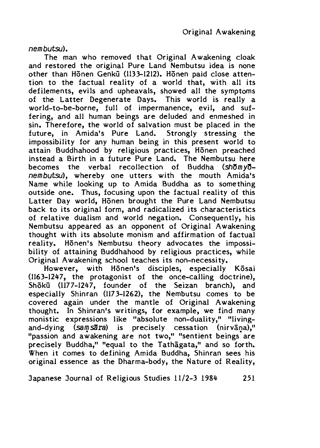*nembutsu).*

The man who removed that Original Awakening cloak and restored the original Pure Land Nembutsu idea is none other than Honen Genku (1133-1212). Honen paid close attention to the factual reality of a world that, with all its defilements, evils and upheavals, showed all the symptoms of the Latter Degenerate Days, This world is really a world-to-be-borne, full of impermanence, evil, and suffering, and all human beings are deluded and enmeshed in sin. Therefore, the world of salvation must be placed in the future. in Amida's Pure Land. Strongly stressing the future, in Amida's Pure Land, impossibility for any human being in this present world to attain Buddhahood by religious practices, H5nen preached instead a Birth in a future Pure Land. The Nembutsu here becomes the verbal recollection of Buddha *(shOmyOnembutsu),* whereby one utters with the mouth Amida's Name while looking up to Amida Buddha as to something outside one. Thus, focusing upon the factual reality of this Latter Day world, Honen brought the Pure Land Nembutsu back to its original form, and radicalized its characteristics of relative dualism and world negation. Consequently, his Nembutsu appeared as an opponent of Original Awakening thought with its absolute monism and affirmation of factual reality. Honen's Nembutsu theory advocates the impossibility of attaining Buddhahood by religious practices, while Original Awakening school teaches its non-necessity.

However, with Honen's disciples, especially Kosai (1163-12 7, the protagonist of the once-calling doctrine), Shōkū (1177-1247, founder of the Seizan branch), and especially Shinran (1173-1262), the Nembutsu comes to be covered again under the mantle of Original Awakening thought. In Shinran's writings, for example, we find many monistic expressions like "absolute non-duality," "livingand-dying *(samsāra)* is precisely cessation (nirvāna)," "passion and awakening are not two," "sentient beings are precisely Buddha," "equal to the Tathagata," and so forth. When it comes to defining Amida Buddha, Shinran sees his original essence as the Dharma-body, the Nature of Reality,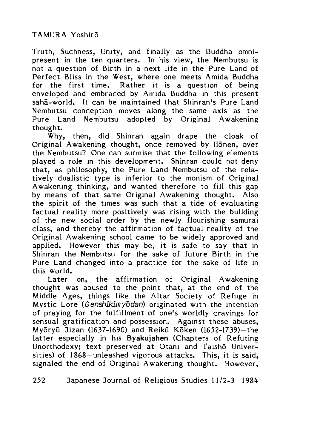# TAMURA Yoshiro

Truth, Suchness, Unity, and finally as the Buddha omnipresent in the ten quarters. In his view, the Nembutsu is not a question of Birth in a next life in the Pure Land of Perfect Bliss in the West, where one meets Amida Buddha for the first time. Rather it is a question of being enveloped and embraced by Amida Buddha in this present saha-world. It can be maintained that Shinran's Pure Land Nembutsu conception moves along the same axis as the Pure Land Nembutsu adopted by Original Awakening thought.

Why, then, did Shinran again drape the cloak of Original Awakening thought, once removed by Honen, over the Nembutsu? One can surmise that the following elements played a role in this development. Shinran could not deny that, as philosophy, the Pure Land Nembutsu of the relatively dualistic type is inferior to the monism of Original Awakening thinking, and wanted therefore to fill this gap by means of that same Original Awakening thought. Also the spirit of the times was such that a tide of evaluating factual reality more positively was rising with the building of the new social order by the newly flourishing samurai class, and thereby the affirmation of factual reality of the Original Awakening school came to be widely approved and applied. However this may be, it is safe to say that in Shinran the Nembutsu for the sake of future Birth in the Pure Land changed into a practice for the sake of life in this world.

Later on, the affirmation of Original Awakening thought was abused to the point that, at the end of the Middle Ages, things like the Altar Society of Refuge in Mystic Lore (G*enshikim*y5*dan)* originated with the intention of praying for the fulfillment of one's worldly cravings for sensual gratification and possession. Against these abuses, Myoryu 3izan (1637-1690) and Reiku K5ken (1652-1739)—the latter especially in his Byakujahen (Chapters of Refuting Unorthodoxy; text preserved at Otani and Taisho Universities) of 1868—unleashed vigorous attacks. This, it is said, signaled the end of Original Awakening thought. However,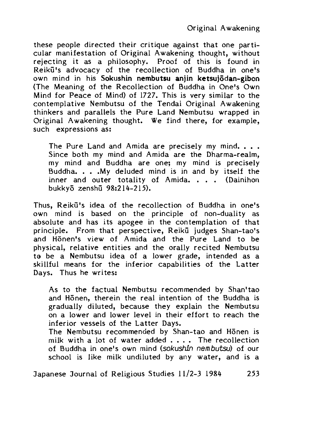these people directed their critique against that one particular manifestation of Original Awakening thought, without rejecting it as a philosophy. Proof of this is found in Reiku's advocacy of the recollection of Buddha in one's own mind in his Sokushin nembutsu anjin ketsuj5dan-gibon (The Meaning of the Recollection of Buddha in One's Own Mind for Peace of Mind) of 1727. This is very similar to the contemplative Nembutsu of the Tendai Original Awakening thinkers and parallels the Pure Land Nembutsu wrapped in Original Awakening thought. We find there, for example, such expressions as:

The Pure Land and Amida are precisely my mind... Since both my mind and Amida are the Dharma-realm, my mind and Buddha are one; my mind is precisely Buddha. . . .My deluded mind is in and by itself the inner and outer totality of Amida. . . . (Dainihon bukkyō zenshū 98:214-215).

Thus, Reikū's idea of the recollection of Buddha in one's own mind is based on the principle of non-duality as absolute and has its apogee in the contemplation of that principle. From that perspective, Reiku judges Shan-tao's and H5nen's view of Amida and the Pure Land to be physical, relative entities and the orally recited Nembutsu to be a Nembutsu idea of a lower grade, intended as a skillful means for the inferior capabilities of the Latter Days. Thus he writes:

As to the factual Nembutsu recommended by Shan'tao and Hönen, therein the real intention of the Buddha is gradually diluted, because they explain the Nembutsu on a lower and lower level in their effort to reach the inferior vessels of the Latter Days.

The Nembutsu recommended by Shan-tao and Honen is milk with a lot of water added . . . . The recollection of Buddha in one's own mind *(sokushin nembutsu)* of our school is like milk undiluted by any water, and is a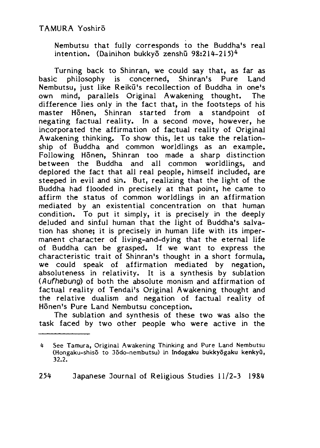Nembutsu that fully corresponds to the Buddha's real intention. (Dainihon bukkyō zenshū 98:214-215)<sup>4</sup>

Turning back to Shinran, we could say that, as far as basic philosophy is concerned, Shinran's Pure Land Nembutsu, just like Reikū's recollection of Buddha in one's own mind, parallels Original Awakening thought. The difference lies only in the fact that, in the footsteps of his master H5nen, Shinran started from a standpoint of negating factual reality. In a second move, however, he incorporated the affirmation of factual reality of Original Awakening thinking. To show this, let us take the relationship of Buddha and common worldlings as an example. Following H5nen, Shinran too made a sharp distinction between the Buddha and all common worldlings, and deplored the fact that all real people, himself included, are steeped in evil and sin. But, realizing that the light of the Buddha had flooded in precisely at that point, he came to affirm the status of common worldlings in an affirmation mediated by an existential concentration on that human condition. To put it simply, it is precisely in the deeply deluded and sinful human that the light of Buddha's salvation has shone; it is precisely in human life with its impermanent character of living-and-dying that the eternal life of Buddha can be grasped. If we want to express the characteristic trait of Shinran's thought in a short formula, we could speak of affirmation mediated by negation, absoluteness in relativity. It is a synthesis by sublation *(Aufhebung)* of both the absolute monism and affirmation of factual reality of Tendai's Original Awakening thought and the relative dualism and negation of factual reality of Honen's Pure Land Nembutsu conception.

The sublation and synthesis of these two was also the task faced by two other people who were active in the

See Tamura, Original Awakening Thinking and Pure Land Nembutsu (Hongaku-shisō to Jōdo-nembutsu) in Indogaku bukkyōgaku kenkyū, 32.2.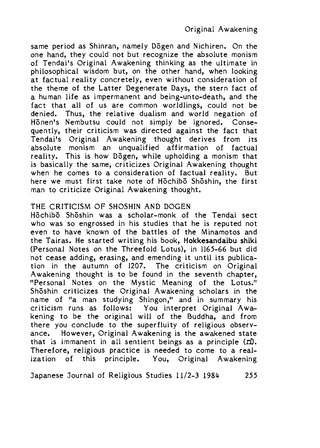same period as Shinran, namely Dogen and Nichiren. On the one hand, they could not but recognize the absolute monism of Tendai's Original Awakening thinking as the ultimate in philosophical wisdom but, on the other hand, when looking at factual reality concretely, even without consideration of the theme of the Latter Degenerate Days, the stern fact of a human life as impermanent and being-unto-death, and the fact that all of us are common worldlings, could not be denied. Thus, the relative dualism and world negation of Honen's Nembutsu could not simply be ignored. Consequently, their criticism was directed against the fact that Tendai's Original Awakening thought derives from its absolute monism an unqualified affirmation of factual reality. This is how D5gen, while upholding a monism that is basically the same, criticizes Original Awakening thought when he comes to a consideration of factual reality. But here we must first take note of Hochibo Shoshin, the first man to criticize Original Awakening thought.

### THE CRITICISM OF SHOSHIN AND DOGEN

Hochib5 Sh5shin was a scholar-monk of the Tendai sect who was so engrossed in his studies that he is reputed not even to have known of the battles of the Minamotos and the Tairas. He started writing his book, Hokkesandaibu shiki (Personal Notes on the Threefold Lotus), in 1165-66 but did not cease adding, erasing, and emending it until its publication in the autumn of 1207. The criticism on Original Awakening thought is to be found in the seventh chapter, "Personal Notes on the Mystic Meaning of the Lotus." Shōshin criticizes the Original Awakening scholars in the name of "a man studying Shingon," and in summary his criticism runs as follows: You interpret Original Awakening to be the original will of the Buddha, and from there you conclude to the superfluity of religious observance. However, Original Awakening is the awakened state that is immanent in all sentient beings as a principle  $(n)$ . Therefore, religious practice is needed to come to a realization of this principle. You, Original Awakening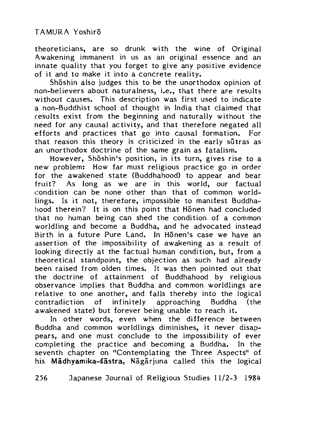theoreticians, are so drunk with the wine of Original Awakening immanent in us as an original essence and an innate quality that you forget to give any positive evidence of it and to make it into a concrete reality.

Shōshin also judges this to be the unorthodox opinion of non-believers about naturalness, i.e., that there are results without causes. This description was first used to indicate a non-Buddhist school of thought in India that claimed that results exist from the beginning and naturally without the need for any causal activity, and that therefore negated all efforts and practices that go into causal formation. For that reason this theory is criticized in the early sutras as an unorthodox doctrine of the same grain as fatalism.

However, Shōshin's position, in its turn, gives rise to a new problem: How far must religious practice go in order for the awakened state (Buddhahood) to appear and bear fruit? As long as we are in this world, our factual condition can be none other than that of common worldlings. Is it not, therefore, impossible to manifest Buddhahood therein? It is on this point that H5nen had concluded that no human being can shed the condition of a common worldling and become a Buddha, and he advocated instead Birth in a future Pure Land, In H5nen's case we have an assertion of the impossibility of awakening as a result of looking directly at the factual human condition, but, from a theoretical standpoint, the objection as such had already been raised from olden times. It was then pointed out that the doctrine of attainment of Buddhahood by religious observance implies that Buddha and common worldlings are relative to one another, and falls thereby into the logical contradiction of infinitely approaching Buddha (the awakened state) but forever being unable to reach it.

In other words, even when the difference between Buddha and common worldlings diminishes, it never disappears, and one must conclude to the impossibility of ever completing the practice and becoming a Buddha. In the seventh chapter on "Contemplating the Three Aspects" of his Madhyamika- sastra, Nagarjuna called this the logical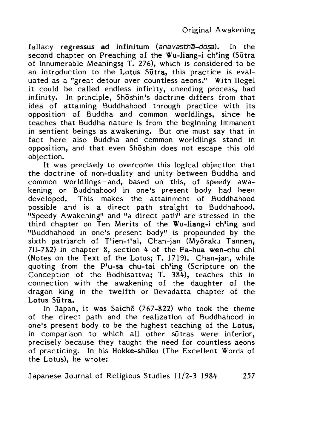fallacy regressus ad infinitum (anavastha-dosa). In the second chapter on Preaching of the Wu-liang-i ch'ing (Sūtra of Innumerable Meanings; T. 276), which is considered to be an introduction to the Lotus Sutra, this practice is evaluated as a "great detour over countless aeons." With Hegel it could be called endless infinity, unending process, bad infinity. In principle, Sh5shin!s doctrine differs from that idea of attaining Buddhahood through practice with its opposition of Buddha and common worldlings, since he teaches that Buddha nature is from the beginning immanent in sentient beings as awakening. But one must say that in fact here also Buddha and common worldlings stand in opposition, and that even Shoshin does not escape this old objection.

It was precisely to overcome this logical objection that the doctrine of non-duality and unity between Buddha and common worldlings—and, based on this, of speedy awakening or Buddhahood in one's present body had been developed. This makes the attainment of Buddhahood possible and is a direct path straight to Buddhahood. "Speedy Awakening" and "a direct path" are stressed in the third chapter on Ten Merits of the Wu-liang-i ch'ing and "Buddhahood in one's present body" is propounded by the sixth patriarch of T'ien-t'ai, Chan-jan (Myōraku Tannen, 711-782) in chapter 8, section 4 of the Fa-hua wen-chu chi (Notes on the Text of the Lotus:  $T. 1719$ ). Chan-jan, while quoting from the P'u-sa chu-tai ch'ing (Scripture on the Conception of the Bodhisattva; T. 384), teaches this in connection with the awakening of the daughter of the dragon king in the twelfth or Devadatta chapter of the Lotus Sūtra.

In Japan, it was Saichō (767-822) who took the theme of the direct path and the realization of Buddhahood in one's present body to be the highest teaching of the Lotus, in comparison to which all other sutras were inferior, precisely because they taught the need for countless aeons of practicing. In his Hokke-shuku (The Excellent Words of the Lotus), he wrote: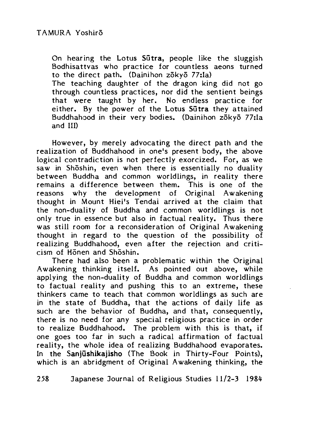On hearing the Lotus Sūtra, people like the sluggish Bodhisattvas who practice for countless aeons turned to the direct path. (Dainihon zōkvō 77:Ia) The teaching daughter of the dragon king did not go through countless practices, nor did the sentient beings that were taught by her. No endless practice for either. By the power of the Lotus Sutra they attained Buddhahood in their very bodies. (Dainihon zokyō 77:Ia and III)

However, by merely advocating the direct path and the realization of Buddhahood in one's present body, the above logical contradiction is not perfectly exorcized. For, as we saw in Shōshin, even when there is essentially no duality between Buddha and common worldlings, in reality there remains a difference between them. This is one of the reasons why the development of Original Awakening thought in Mount Hiei's Tendai arrived at the claim that the non-duality of Buddha and common worldlings is not only true in essence but also in factual reality. Thus there was still room for a reconsideration of Original Awakening thought in regard to the question of the possibility of realizing Buddhahood, even after the rejection and criticism of Hönen and Shöshin.

There had also been a problematic within the Original Awakening thinking itself. As pointed out above, while applying the non-duality of Buddha and common worldlings to factual reality and pushing this to an extreme, these thinkers came to teach that common worldlings as such are in the state of Buddha, that the actions of daily life as such are the behavior of Buddha, and that, consequently, there is no need for any special religious practice in order to realize Buddhahood. The problem with this is that, if one goes too far in such a radical affirmation of factual reality, the whole idea of realizing Buddhahood evaporates. In the Sanjushikajisho (The Book in Thirty-Four Points), which is an abridgment of Original Awakening thinking, the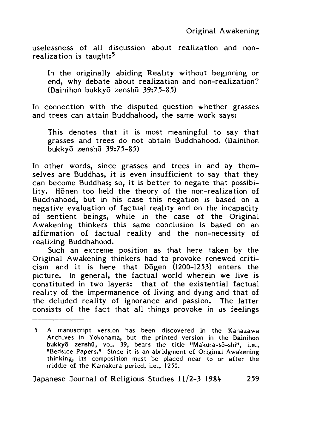uselessness of all discussion about realization and nonrealization is taught:<sup>5</sup>

In the originally abiding Reality without beginning or end, why debate about realization and non-realization? (Dainihon bukky5 zenshu 39:75-85)

In connection with the disputed question whether grasses and trees can attain Buddhahood, the same work says:

This denotes that it is most meaningful to say that grasses and trees do not obtain Buddhahood. (Dainihon bukky5 zenshu 39:75-85)

In other words, since grasses and trees in and by themselves are Buddhas, it is even insufficient to say that they can become Buddhas; so, it is better to negate that possibility. Honen too held the theory of the non-realization of Buddhahood, but in his case this negation is based on a negative evaluation of factual reality and on the incapacity of sentient beings, while in the case of the Original Awakening thinkers this same conclusion is based on an affirmation of factual reality and the non-necessity of realizing Buddhahood.

Such an extreme position as that here taken by the Original Awakening thinkers had to provoke renewed criticism and it is here that D5gen (1200-1253) enters the picture. In general, the factual world wherein we live is constituted in two layers: that of the existential factual reality of the impermanence of living and dying and that of the deluded reality of ignorance and passion. The latter consists of the fact that all things provoke in us feelings

<sup>5</sup> A manuscript version has been discovered in the Kanazawa Archives in Yokohama, but the printed version in the Dainihon bukkyō zenshū, vol. 39, bears the title "Makura-sō-shi", i.e., "Bedside Papers." Since it is an abridgment of Original Awakening thinking, its composition must be placed near to or after the middle of the Kamakura period, i.e., 1250.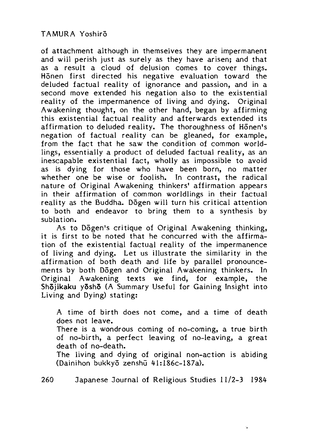# TAMURA Yoshiro

of attachment although in themselves they are impermanent and will perish just as surely as they have arisen; and that as a result a cloud of delusion comes to cover things. Honen first directed his negative evaluation toward the deluded factual reality of ignorance and passion, and in a second move extended his negation also to the existential reality of the impermanence of living and dying. Original Awakening thought, on the other hand, began by affirming this existential factual reality and afterwards extended its affirmation to deluded reality. The thoroughness of Honen's negation of factual reality can be gleaned, for example, from the fact that he saw the condition of common worldlings, essentially a product of deluded factual reality, as an inescapable existential fact, wholly as impossible to avoid as is dying for those who have been born, no matter whether one be wise or foolish. In contrast, the radical nature of Original Awakening thinkers' affirmation appears in their affirmation of common worldlings in their factual reality as the Buddha. Dogen will turn his critical attention to both and endeavor to bring them to a synthesis by sublation.

As to Dogen's critique of Original Awakening thinking, it is first to be noted that he concurred with the affirmation of the existential factual reality of the impermanence of living and dying. Let us illustrate the similarity in the affirmation of both death and life by parallel pronouncements by both D5gen and Original Awakening thinkers. In Original Awakening texts we find, for example, the Shojikaku yosho (A Summary Useful for Gaining Insight into Living and Dying) stating:

A time of birth does not come, and a time of death does not leave.

There is a wondrous coming of no-coming, a true birth of no-birth, a perfect leaving of no-leaving, a great death of no-death.

The living and dying of original non-action is abiding (Dainihon bukkyō zenshū 41:186c-187a).

÷,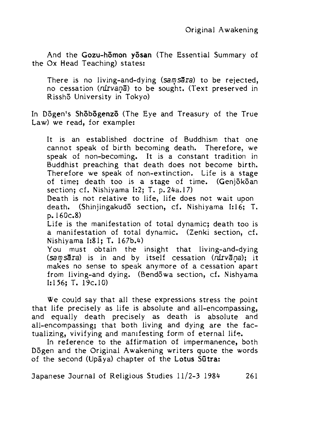And the Gozu-homon yosan (The Essential Summary of the Ox Head Teaching) states:

There is no living-and-dying (samsara) to be rejected, no cessation *(nirvana)* to be sought. (Text preserved in Rissho University in Tokyo)

In D5gen's Sh5b5genz5 (The Eye and Treasury of the True Law) we read, for example:

It is an established doctrine of Buddhism that one cannot speak of birth becoming death. Therefore, we speak of non-becoming. It is a constant tradition in Buddhist preaching that death does not become birth. Therefore we speak of non-extinction. Life is a stage of time; death too is a stage of time. (Genj5k5an section; cf. Nishiyama I:2; T. p.  $24a.17$ ) Death is not relative to life, life does not wait upon

death. (Shinjingakudō section, cf. Nishiyama I:16; T. p. 160c.8)

Life is the manifestation of total dynamic; death too is a manifestation of total dynamic, (Zenki section, cf. Nishiyama I:81: T. 167b.4)

You must obtain the insight that living-and-dying  $(samsāra)$  is in and by itself cessation  $(nirvāna)$ ; it makes no sense to speak anymore of a cessation apart from living-and dying. (Bendowa section, cf. Nishyama  $1:156$ ; T. 19c.10)

We could say that all these expressions stress the point that life precisely as life is absolute and all-encompassing, and equally death precisely as death is absolute and all-encompassing; that both living and dying are the factualizing, vivifying and manifesting form of eternal life.

In reference to the affirmation of impermanence, both D5gen and the Original Awakening writers quote the words of the second (Upaya) chapter of the Lotus Sutra: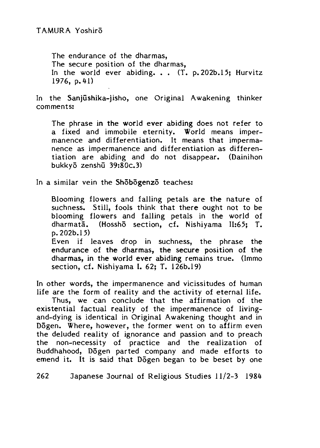The endurance of the dharmas, The secure position of the dharmas, In the world ever abiding.  $\cdot$  . (T. p. 202b.15; Hurvitz 1976, p.41)

In the SanjGshika-jisho, one Original Awakening thinker comments:

The phrase in the world ever abiding does not refer to a fixed and immobile eternity. World means impermanence and differentiation. It means that impermanence as impermanence and differentiation as differentiation are abiding and do not disappear. (Dainihon bukkyō zenshū 39:80c.3)

In a similar vein the Shobogenzo teaches:

Blooming flowers and falling petals are th**e** nature o suchness. Still, fools think that there ought not to be blooming flowers and falling petals in the world o dharmatā**.** (Hosshō section, cf. Nishiyama II:65; T. p.202b.l5) Even if leaves drop in suchness, the phrase the endurance of the dharmas, the secure position of the dharmas, in the world ever abiding remains true, (Immo section, cf. Nishiyama I. 62; T.126b.19)

In other words, the impermanence and vicissitudes of human life are the form of reality and the activity of eternal life.

Thus, we can conclude that the affirmation of the existential factual reality of the impermanence of livingand-dying is identical in Original Awakening thought and in D5gen. Where, however, the former went on to affirm even the deluded reality of ignorance and passion and to preach the non-necessity of practice and the realization of Buddhahood, D5gen parted company and made efforts to emend it. It is said that Dogen began to be beset by one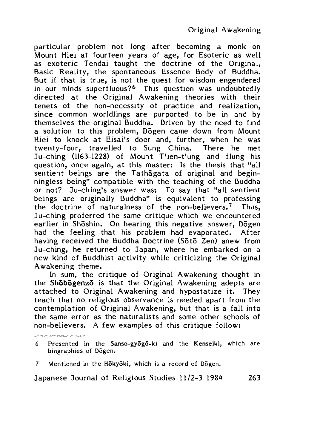particular problem not long after becoming a monk on Mount Hiei at fourteen years of age, for Esoteric as well as exoteric Tendai taught the doctrine of the Original, Basic Reality, the spontaneous Essence Body of Buddha. But if that is true, is not the quest for wisdom engendered in our minds superfluous?6 This question was undoubtedly directed at the Original Awakening theories with their tenets of the non-necessity of practice and realization, since common worldlings are purported to be in and by themselves the original Buddha. Driven by the need to find a solution to this problem, Dogen came down from Mount Hiei to knock at Eisai's door and, further, when he was twenty-four, travelled to Sung China. There he met Ju-ching (1163-1228) of Mount T'ien-t'ung and flung his question, once again, at this master: Is the thesis that "all sentient beings are the Tathagata of original and beginningless being" compatible with the teaching of the Buddha or not? Ju-ching's answer was: To say that "all sentient beings are originally Buddha" is equivalent to professing the doctrine of naturalness of the non-believers.7 Thus, 3u-ching proferred the same critique which we encountered earlier in Shōshin. On hearing this negative answer, Dōgen had the feeling that his problem had evaporated. After having received the Buddha Doctrine (Soto Zen) anew from Ju-ching, he returned to Japan, where he embarked on a new kind of Buddhist activity while criticizing the Original Awakening theme.

In sum, the critique of Original Awakening thought in the Shobogenzo is that the Original Awakening adepts are attached to Original Awakening and hypostatize it. They teach that no religious observance is needed apart from the contemplation of Original Awakening, but that is a fall into the same error as the naturalists and some other schools of non-believers. A few examples of this critique follow:

7 Mentioned in the Hokyoki, which is a record of Dogen.

<sup>6</sup> Presented in the Sanso-gyogo-ki and the Kenseiki, which are biographies of Dogen.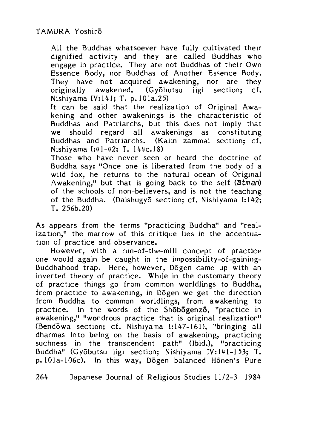All the Buddhas whatsoever have fully cultivated their dignified activity and they are called Buddhas who engage in practice. They are not Buddhas of their Own Essence Body, nor Buddhas of Another Essence Body. They have not acquired awakening, nor are they originally awakened. (Gyobutsu iigi section; cf. Nishiyama IV:141: T. p. 101a.25)

It can be said that the realization of Original Awakening and other awakenings is the characteristic of Buddhas and Patriarchs, but this does not imply that we should regard all awakenings as constituting Buddhas and Patriarchs. (Kaiin zammai section; cf. Nishiyama I: 41-42: T. 144c.18)

Those who have never seen or heard the doctrine of Buddha say: "Once one is liberated from the body of a wild fox, he returns to the natural ocean of Original Awakening," but that is going back to the self  $(\text{d} \text{t} \text{m} \text{an})$ of the schools of non-believers, and is not the teaching of the Buddha. (Daishugyo section; cf. Nishiyama  $1:142$ ; T. 256b.20)

As appears from the terms "practicing Buddha" and "realization," the marrow of this critique lies in the accentuation of practice and observance.

However, with a run-of-the-mill concept of practice one would again be caught in the impossibility-of-gaining-Buddhahood trap. Here, however, Dogen came up with an inverted theory of practice. While in the customary theory of practice things go from common worldlings to Buddha, from practice to awakening, in Dogen we get the direction from Buddha to common worldlings, from awakening to practice. In the words of the Sh5b5genz5, "practice in awakening," "wondrous practice that is original realization" (Bendowa section; cf. Nishiyama I:147-161), "bringing all dharmas into being on the basis of awakening, practicing suchness in the transcendent path" (Ibid.), "practicing Buddha" (Gy5butsu iigi section; Nishiyama IV:1^1-153; T. p. 101a-106c). In this way, Dogen balanced Honen's Pure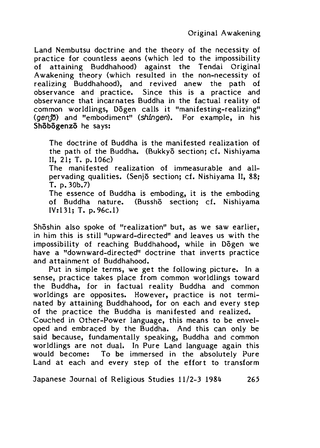Land Nembutsu doctrine and the theory of the necessity of practice for countless aeons (which led to the impossibility of attaining Buddhahood) against the Tendai Original Awakening theory (which resulted in the non-necessity of realizing Buddhahood), and revived anew the path of observance and practice. Since this is a practice and observance that incarnates Buddha in the factual reality of common worldlings, D5gen calls it "manifesting-realizing" *(ger\p)* and "embodiment" *(shingen).* For example, in his Shobogenzo he says:

The doctrine of Buddha is the manifested realization of the path of the Buddha. (Bukkyō section; cf. Nishiyama II, 21;T. p. 106c)

The manifested realization of immeasurable and allpervading qualities. (Senj5 section; cf. Nishiyama II, 88; T. p. 30b.7)

The essence of Buddha is emboding, it is the emboding of Buddha nature. (Busshō section; cf. Nishiyama IV:131; T. p. 96c.1)

Shōshin also spoke of "realization" but, as we saw earlier, in him this is still "upward-directed" and leaves us with the impossibility of reaching Buddhahood, while in D5gen we have a "downward-directed" doctrine that inverts practice and attainment of Buddhahood.

Put in simple terms, we get the following picture. In a sense, practice takes place from common worldlings toward the Buddha, for in factual reality Buddha and common worldings are opposites. However, practice is not terminated by attaining Buddhahood, for on each and every step of the practice the Buddha is manifested and realized.

Couched in Other-Power language, this means to be enveloped and embraced by the Buddha. And this can only be said because, fundamentally speaking, Buddha and common worldlings are not dual. In Pure Land language again this would become: To be immersed in the absolutely Pure Land at each and every step of the effort to transform